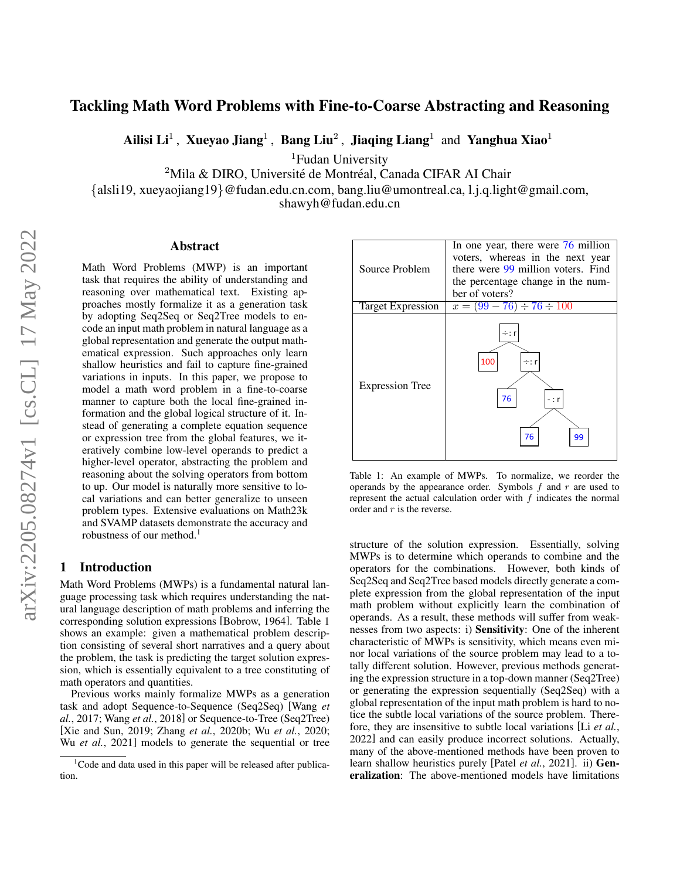# <span id="page-0-1"></span>Tackling Math Word Problems with Fine-to-Coarse Abstracting and Reasoning

Ailisi Li<sup>1</sup>, Xueyao Jiang<sup>1</sup>, Bang Liu<sup>2</sup>, Jiaqing Liang<sup>1</sup> and Yanghua Xiao<sup>1</sup>

<sup>1</sup>Fudan University

 $2$ Mila & DIRO, Université de Montréal, Canada CIFAR AI Chair

{alsli19, xueyaojiang19}@fudan.edu.cn.com, bang.liu@umontreal.ca, l.j.q.light@gmail.com,

shawyh@fudan.edu.cn

#### Abstract

Math Word Problems (MWP) is an important task that requires the ability of understanding and reasoning over mathematical text. Existing approaches mostly formalize it as a generation task by adopting Seq2Seq or Seq2Tree models to encode an input math problem in natural language as a global representation and generate the output mathematical expression. Such approaches only learn shallow heuristics and fail to capture fine-grained variations in inputs. In this paper, we propose to model a math word problem in a fine-to-coarse manner to capture both the local fine-grained information and the global logical structure of it. Instead of generating a complete equation sequence or expression tree from the global features, we iteratively combine low-level operands to predict a higher-level operator, abstracting the problem and reasoning about the solving operators from bottom to up. Our model is naturally more sensitive to local variations and can better generalize to unseen problem types. Extensive evaluations on Math23k and SVAMP datasets demonstrate the accuracy and robustness of our method.<sup>1</sup>

## 1 Introduction

Math Word Problems (MWPs) is a fundamental natural language processing task which requires understanding the natural language description of math problems and inferring the corresponding solution expressions [\[Bobrow, 1964\]](#page-6-0). Table [1](#page-0-0) shows an example: given a mathematical problem description consisting of several short narratives and a query about the problem, the task is predicting the target solution expression, which is essentially equivalent to a tree constituting of math operators and quantities.

Previous works mainly formalize MWPs as a generation task and adopt Sequence-to-Sequence (Seq2Seq) [\[Wang](#page-6-1) *et al.*[, 2017;](#page-6-1) Wang *et al.*[, 2018\]](#page-6-2) or Sequence-to-Tree (Seq2Tree) [\[Xie and Sun, 2019;](#page-6-3) Zhang *et al.*[, 2020b;](#page-6-4) Wu *et al.*[, 2020;](#page-6-5) Wu *et al.*[, 2021\]](#page-6-6) models to generate the sequential or tree

<span id="page-0-0"></span>

Table 1: An example of MWPs. To normalize, we reorder the operands by the appearance order. Symbols  $f$  and  $r$  are used to represent the actual calculation order with  $f$  indicates the normal order and  $r$  is the reverse.

structure of the solution expression. Essentially, solving MWPs is to determine which operands to combine and the operators for the combinations. However, both kinds of Seq2Seq and Seq2Tree based models directly generate a complete expression from the global representation of the input math problem without explicitly learn the combination of operands. As a result, these methods will suffer from weaknesses from two aspects: i) Sensitivity: One of the inherent characteristic of MWPs is sensitivity, which means even minor local variations of the source problem may lead to a totally different solution. However, previous methods generating the expression structure in a top-down manner (Seq2Tree) or generating the expression sequentially (Seq2Seq) with a global representation of the input math problem is hard to notice the subtle local variations of the source problem. Therefore, they are insensitive to subtle local variations [Li *[et al.](#page-6-7)*, [2022\]](#page-6-7) and can easily produce incorrect solutions. Actually, many of the above-mentioned methods have been proven to learn shallow heuristics purely [Patel *et al.*[, 2021\]](#page-6-8). ii) Generalization: The above-mentioned models have limitations

 $1$ Code and data used in this paper will be released after publication.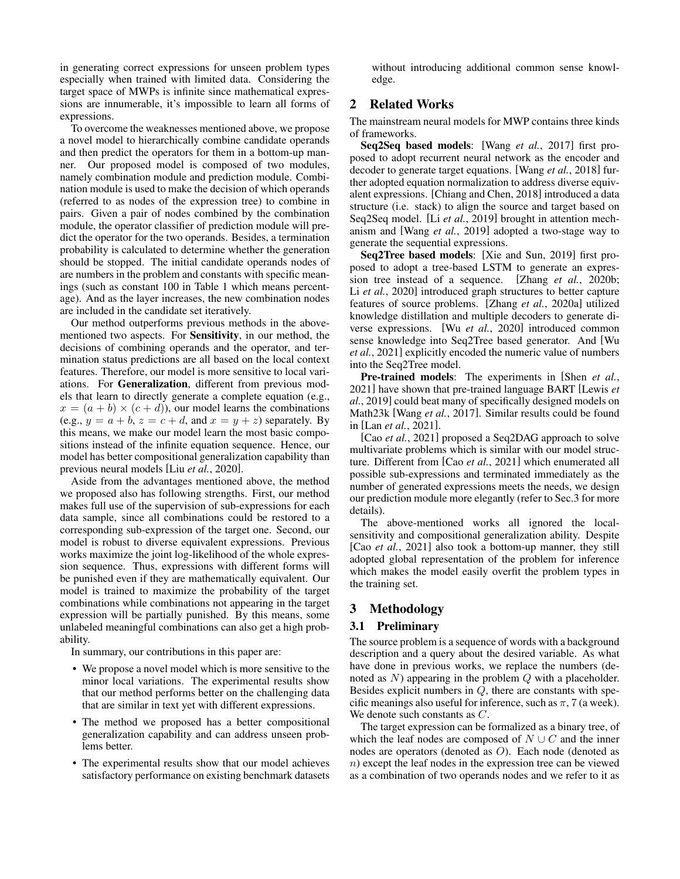in generating correct expressions for unseen problem types especially when trained with limited data. Considering the target space of MWPs is infinite since mathematical expressions are innumerable, it's impossible to learn all forms of expressions.

To overcome the weaknesses mentioned above, we propose a novel model to hierarchically combine candidate operands and then predict the operators for them in a bottom-up manner. Our proposed model is composed of two modules, namely combination module and prediction module. Combination module is used to make the decision of which operands (referred to as nodes of the expression tree) to combine in pairs. Given a pair of nodes combined by the combination module, the operator classifier of prediction module will predict the operator for the two operands. Besides, a termination probability is calculated to determine whether the generation should be stopped. The initial candidate operands nodes of are numbers in the problem and constants with specific meanings (such as constant 100 in Table [1](#page-0-0) which means percentage). And as the layer increases, the new combination nodes are included in the candidate set iteratively.

Our method outperforms previous methods in the abovementioned two aspects. For Sensitivity, in our method, the decisions of combining operands and the operator, and termination status predictions are all based on the local context features. Therefore, our model is more sensitive to local variations. For Generalization, different from previous models that learn to directly generate a complete equation (e.g.,  $x = (a + b) \times (c + d)$ , our model learns the combinations (e.g.,  $y = a + b$ ,  $z = c + d$ , and  $x = y + z$ ) separately. By this means, we make our model learn the most basic compositions instead of the infinite equation sequence. Hence, our model has better compositional generalization capability than previous neural models [Liu *et al.*[, 2020\]](#page-6-9).

Aside from the advantages mentioned above, the method we proposed also has following strengths. First, our method makes full use of the supervision of sub-expressions for each data sample, since all combinations could be restored to a corresponding sub-expression of the target one. Second, our model is robust to diverse equivalent expressions. Previous works maximize the joint log-likelihood of the whole expression sequence. Thus, expressions with different forms will be punished even if they are mathematically equivalent. Our model is trained to maximize the probability of the target combinations while combinations not appearing in the target expression will be partially punished. By this means, some unlabeled meaningful combinations can also get a high probability.

In summary, our contributions in this paper are:

- We propose a novel model which is more sensitive to the minor local variations. The experimental results show that our method performs better on the challenging data that are similar in text yet with different expressions.
- The method we proposed has a better compositional generalization capability and can address unseen problems better.
- The experimental results show that our model achieves satisfactory performance on existing benchmark datasets

without introducing additional common sense knowledge.

## 2 Related Works

The mainstream neural models for MWP contains three kinds of frameworks.

Seq2Seq based models: [Wang *et al.*[, 2017\]](#page-6-1) first proposed to adopt recurrent neural network as the encoder and decoder to generate target equations. [Wang *et al.*[, 2018\]](#page-6-2) further adopted equation normalization to address diverse equivalent expressions. [\[Chiang and Chen, 2018\]](#page-6-10) introduced a data structure (i.e. stack) to align the source and target based on Seq2Seq model. [Li *et al.*[, 2019\]](#page-6-11) brought in attention mechanism and [Wang *et al.*[, 2019\]](#page-6-12) adopted a two-stage way to generate the sequential expressions.

Seq2Tree based models: [\[Xie and Sun, 2019\]](#page-6-3) first proposed to adopt a tree-based LSTM to generate an expression tree instead of a sequence. [Zhang *et al.*[, 2020b;](#page-6-4) Li *et al.*[, 2020\]](#page-6-13) introduced graph structures to better capture features of source problems. [Zhang *et al.*[, 2020a\]](#page-6-14) utilized knowledge distillation and multiple decoders to generate diverse expressions. [Wu *et al.*[, 2020\]](#page-6-5) introduced common sense knowledge into Seq2Tree based generator. And [\[Wu](#page-6-6) *et al.*[, 2021\]](#page-6-6) explicitly encoded the numeric value of numbers into the Seq2Tree model.

Pre-trained models: The experiments in [\[Shen](#page-6-15) *et al.*, [2021\]](#page-6-15) have shown that pre-trained language BART [\[Lewis](#page-6-16) *et al.*[, 2019\]](#page-6-16) could beat many of specifically designed models on Math23k [Wang *et al.*[, 2017\]](#page-6-1). Similar results could be found in [Lan *et al.*[, 2021\]](#page-6-17).

[Cao *et al.*[, 2021\]](#page-6-18) proposed a Seq2DAG approach to solve multivariate problems which is similar with our model structure. Different from [Cao *et al.*[, 2021\]](#page-6-18) which enumerated all possible sub-expressions and terminated immediately as the number of generated expressions meets the needs, we design our prediction module more elegantly (refer to Sec[.3](#page-1-0) for more details).

The above-mentioned works all ignored the localsensitivity and compositional generalization ability. Despite [Cao *et al.*[, 2021\]](#page-6-18) also took a bottom-up manner, they still adopted global representation of the problem for inference which makes the model easily overfit the problem types in the training set.

### <span id="page-1-0"></span>3 Methodology

### 3.1 Preliminary

The source problem is a sequence of words with a background description and a query about the desired variable. As what have done in previous works, we replace the numbers (denoted as  $N$ ) appearing in the problem  $Q$  with a placeholder. Besides explicit numbers in  $Q$ , there are constants with specific meanings also useful for inference, such as  $\pi$ , 7 (a week). We denote such constants as C.

The target expression can be formalized as a binary tree, of which the leaf nodes are composed of  $N \cup C$  and the inner nodes are operators (denoted as O). Each node (denoted as n) except the leaf nodes in the expression tree can be viewed as a combination of two operands nodes and we refer to it as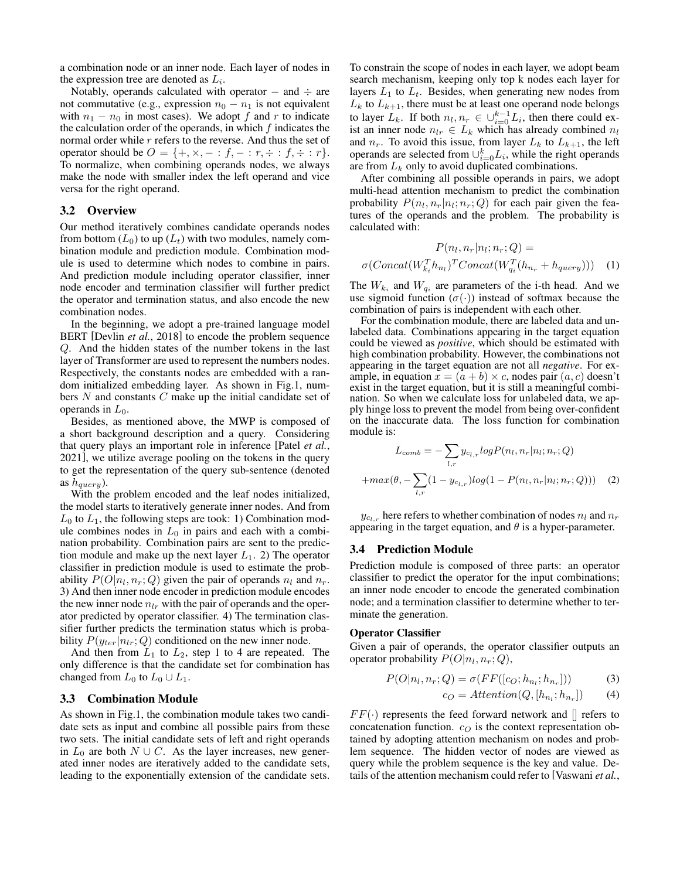a combination node or an inner node. Each layer of nodes in the expression tree are denoted as  $L_i$ .

Notably, operands calculated with operator  $-$  and  $\div$  are not commutative (e.g., expression  $n_0 - n_1$  is not equivalent with  $n_1 - n_0$  in most cases). We adopt f and r to indicate the calculation order of the operands, in which  $f$  indicates the normal order while  $r$  refers to the reverse. And thus the set of operator should be  $O = \{+, \times, - : f, - : r, \div : f, \div : r\}.$ To normalize, when combining operands nodes, we always make the node with smaller index the left operand and vice versa for the right operand.

#### 3.2 Overview

Our method iteratively combines candidate operands nodes from bottom  $(L_0)$  to up  $(L_t)$  with two modules, namely combination module and prediction module. Combination module is used to determine which nodes to combine in pairs. And prediction module including operator classifier, inner node encoder and termination classifier will further predict the operator and termination status, and also encode the new combination nodes.

In the beginning, we adopt a pre-trained language model BERT [\[Devlin](#page-6-19) *et al.*, 2018] to encode the problem sequence Q. And the hidden states of the number tokens in the last layer of Transformer are used to represent the numbers nodes. Respectively, the constants nodes are embedded with a random initialized embedding layer. As shown in Fig[.1,](#page-3-0) numbers  $N$  and constants  $C$  make up the initial candidate set of operands in  $L_0$ .

Besides, as mentioned above, the MWP is composed of a short background description and a query. Considering that query plays an important role in inference [\[Patel](#page-6-8) *et al.*, [2021\]](#page-6-8), we utilize average pooling on the tokens in the query to get the representation of the query sub-sentence (denoted as  $h_{query}$ ).

With the problem encoded and the leaf nodes initialized, the model starts to iteratively generate inner nodes. And from  $L_0$  to  $L_1$ , the following steps are took: 1) Combination module combines nodes in  $L_0$  in pairs and each with a combination probability. Combination pairs are sent to the prediction module and make up the next layer  $L_1$ . 2) The operator classifier in prediction module is used to estimate the probability  $P(O|n_l, n_r; Q)$  given the pair of operands  $n_l$  and  $n_r$ . 3) And then inner node encoder in prediction module encodes the new inner node  $n_{lr}$  with the pair of operands and the operator predicted by operator classifier. 4) The termination classifier further predicts the termination status which is probability  $P(y_{ter}|n_{lr}; Q)$  conditioned on the new inner node.

And then from  $L_1$  to  $L_2$ , step 1 to 4 are repeated. The only difference is that the candidate set for combination has changed from  $L_0$  to  $L_0 \cup L_1$ .

#### <span id="page-2-0"></span>3.3 Combination Module

As shown in Fig[.1,](#page-3-0) the combination module takes two candidate sets as input and combine all possible pairs from these two sets. The initial candidate sets of left and right operands in  $L_0$  are both  $N \cup C$ . As the layer increases, new generated inner nodes are iteratively added to the candidate sets, leading to the exponentially extension of the candidate sets. To constrain the scope of nodes in each layer, we adopt beam search mechanism, keeping only top k nodes each layer for layers  $L_1$  to  $L_t$ . Besides, when generating new nodes from  $L_k$  to  $L_{k+1}$ , there must be at least one operand node belongs to layer  $L_k$ . If both  $n_l, n_r \in \bigcup_{i=0}^{k-1} L_i$ , then there could exist an inner node  $n_{lr} \in L_k$  which has already combined  $n_l$ and  $n_r$ . To avoid this issue, from layer  $L_k$  to  $L_{k+1}$ , the left operands are selected from  $\cup_{i=0}^{k} L_i$ , while the right operands are from  $L_k$  only to avoid duplicated combinations.

After combining all possible operands in pairs, we adopt multi-head attention mechanism to predict the combination probability  $P(n_l, n_r|n_l; n_r; Q)$  for each pair given the features of the operands and the problem. The probability is calculated with:

$$
P(n_l, n_r | n_l; n_r; Q) =
$$

$$
\sigma(Concat(W_{k_l}^T h_{n_l})^T Concat(W_{q_i}^T (h_{n_r} + h_{query}))) \quad (1)
$$

The  $W_{k_i}$  and  $W_{q_i}$  are parameters of the i-th head. And we use sigmoid function  $(\sigma(\cdot))$  instead of softmax because the combination of pairs is independent with each other.

For the combination module, there are labeled data and unlabeled data. Combinations appearing in the target equation could be viewed as *positive*, which should be estimated with high combination probability. However, the combinations not appearing in the target equation are not all *negative*. For example, in equation  $x = (a + b) \times c$ , nodes pair  $(a, c)$  doesn't exist in the target equation, but it is still a meaningful combination. So when we calculate loss for unlabeled data, we apply hinge loss to prevent the model from being over-confident on the inaccurate data. The loss function for combination module is:

$$
L_{comb} = -\sum_{l,r} y_{c_{l,r}} log P(n_l, n_r | n_l; n_r; Q)
$$

$$
+ max(\theta, -\sum_{l,r} (1 - y_{c_{l,r}}) log(1 - P(n_l, n_r | n_l; n_r; Q))) \quad (2)
$$

 $y_{c_{l,r}}$  here refers to whether combination of nodes  $n_l$  and  $n_r$ appearing in the target equation, and  $\theta$  is a hyper-parameter.

#### 3.4 Prediction Module

Prediction module is composed of three parts: an operator classifier to predict the operator for the input combinations; an inner node encoder to encode the generated combination node; and a termination classifier to determine whether to terminate the generation.

#### <span id="page-2-1"></span>Operator Classifier

Given a pair of operands, the operator classifier outputs an operator probability  $P(O|n_l, n_r; Q)$ ,

$$
P(O|n_l, n_r; Q) = \sigma(FF([c_O; h_{n_l}; h_{n_r}]))
$$
\n(3)

$$
c_O = Attention(Q, [h_{n_l}; h_{n_r}])
$$
 (4)

 $FF(\cdot)$  represents the feed forward network and  $\parallel$  refers to concatenation function.  $c<sub>O</sub>$  is the context representation obtained by adopting attention mechanism on nodes and problem sequence. The hidden vector of nodes are viewed as query while the problem sequence is the key and value. Details of the attention mechanism could refer to [\[Vaswani](#page-6-20) *et al.*,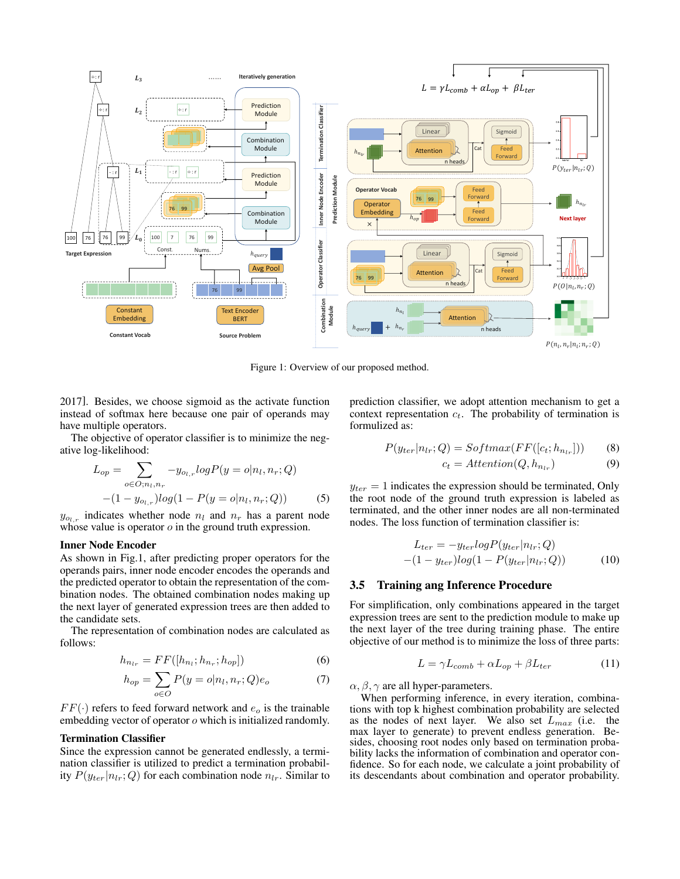<span id="page-3-0"></span>

Figure 1: Overview of our proposed method.

[2017\]](#page-6-20). Besides, we choose sigmoid as the activate function instead of softmax here because one pair of operands may have multiple operators.

The objective of operator classifier is to minimize the negative log-likelihood:

$$
L_{op} = \sum_{o \in O; n_l, n_r} -y_{o_l, r} log P(y = o | n_l, n_r; Q)
$$

$$
-(1 - y_{o_l, r}) log(1 - P(y = o | n_l, n_r; Q))
$$
(5)

 $y_{o_{l,r}}$  indicates whether node  $n_l$  and  $n_r$  has a parent node whose value is operator  $o$  in the ground truth expression.

#### Inner Node Encoder

As shown in Fig[.1,](#page-3-0) after predicting proper operators for the operands pairs, inner node encoder encodes the operands and the predicted operator to obtain the representation of the combination nodes. The obtained combination nodes making up the next layer of generated expression trees are then added to the candidate sets.

The representation of combination nodes are calculated as follows:

$$
h_{n_{lr}} = FF([h_{n_l}; h_{n_r}; h_{op}])
$$
\n(6)

$$
h_{op} = \sum_{o \in O} P(y = o | n_l, n_r; Q) e_o \tag{7}
$$

 $FF(\cdot)$  refers to feed forward network and  $e_o$  is the trainable embedding vector of operator o which is initialized randomly.

#### Termination Classifier

Since the expression cannot be generated endlessly, a termination classifier is utilized to predict a termination probability  $P(y_{ter}|n_{lr}; Q)$  for each combination node  $n_{lr}$ . Similar to prediction classifier, we adopt attention mechanism to get a context representation  $c_t$ . The probability of termination is formulized as:

$$
P(y_{ter}|n_{lr};Q) = Softmax(FF([c_t; h_{n_{lr}}]))
$$
 (8)

$$
c_t = Attention(Q, h_{n_{lr}})
$$
\n(9)

 $y_{ter} = 1$  indicates the expression should be terminated, Only the root node of the ground truth expression is labeled as terminated, and the other inner nodes are all non-terminated nodes. The loss function of termination classifier is:

$$
L_{ter} = -y_{ter} \log P(y_{ter} | n_{lr}; Q)
$$

$$
-(1 - y_{ter}) \log (1 - P(y_{ter} | n_{lr}; Q))
$$
(10)

#### 3.5 Training ang Inference Procedure

For simplification, only combinations appeared in the target expression trees are sent to the prediction module to make up the next layer of the tree during training phase. The entire objective of our method is to minimize the loss of three parts:

$$
L = \gamma L_{comb} + \alpha L_{op} + \beta L_{ter}
$$
 (11)

 $\alpha$ ,  $\beta$ ,  $\gamma$  are all hyper-parameters.

When performing inference, in every iteration, combinations with top k highest combination probability are selected as the nodes of next layer. We also set  $L_{max}$  (i.e. the max layer to generate) to prevent endless generation. Besides, choosing root nodes only based on termination probability lacks the information of combination and operator confidence. So for each node, we calculate a joint probability of its descendants about combination and operator probability.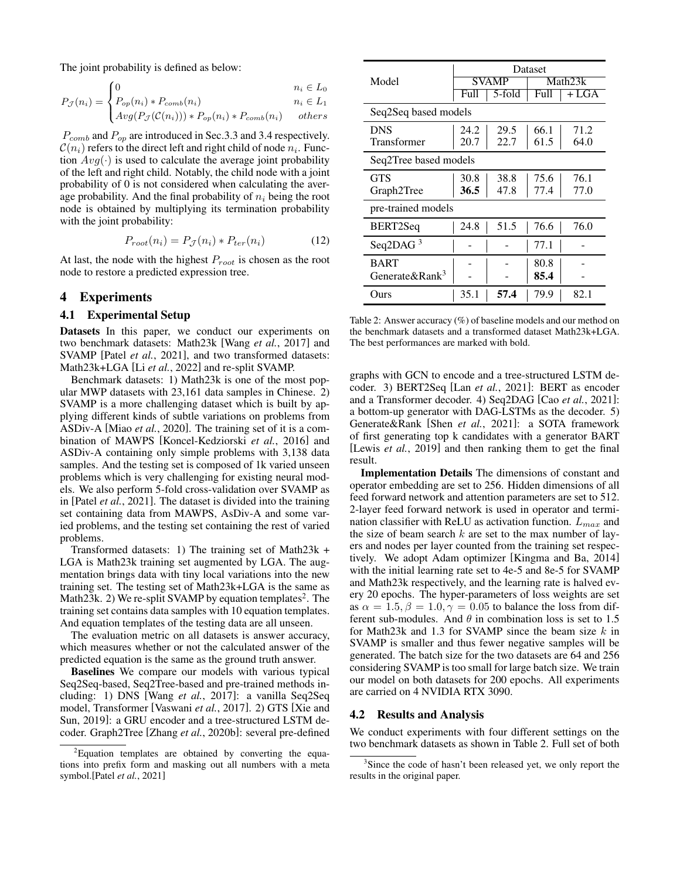The joint probability is defined as below:

$$
P_{\mathcal{J}}(n_i) = \begin{cases} 0 & n_i \in L_0 \\ P_{op}(n_i) * P_{comb}(n_i) & n_i \in L_1 \end{cases}
$$

$$
\big(\text{Avg}(P_{\mathcal{J}}(\mathcal{C}(n_i))) * P_{op}(n_i) * P_{comb}(n_i) \qquad others
$$

 $P_{comb}$  and  $P_{op}$  are introduced in Sec[.3.3](#page-2-0) and [3.4](#page-2-1) respectively.  $\mathcal{C}(n_i)$  refers to the direct left and right child of node  $n_i$ . Function  $Avg(\cdot)$  is used to calculate the average joint probability of the left and right child. Notably, the child node with a joint probability of 0 is not considered when calculating the average probability. And the final probability of  $n_i$  being the root node is obtained by multiplying its termination probability with the joint probability:

$$
P_{root}(n_i) = P_{\mathcal{J}}(n_i) * P_{ter}(n_i)
$$
 (12)

At last, the node with the highest  $P_{root}$  is chosen as the root node to restore a predicted expression tree.

### 4 Experiments

#### <span id="page-4-1"></span>4.1 Experimental Setup

Datasets In this paper, we conduct our experiments on two benchmark datasets: Math23k [Wang *et al.*[, 2017\]](#page-6-1) and SVAMP [Patel *et al.*[, 2021\]](#page-6-8), and two transformed datasets: Math23k+LGA [Li *et al.*[, 2022\]](#page-6-7) and re-split SVAMP.

Benchmark datasets: 1) Math23k is one of the most popular MWP datasets with 23,161 data samples in Chinese. 2) SVAMP is a more challenging dataset which is built by applying different kinds of subtle variations on problems from ASDiv-A [Miao *et al.*[, 2020\]](#page-6-21). The training set of it is a combination of MAWPS [\[Koncel-Kedziorski](#page-6-22) *et al.*, 2016] and ASDiv-A containing only simple problems with 3,138 data samples. And the testing set is composed of 1k varied unseen problems which is very challenging for existing neural models. We also perform 5-fold cross-validation over SVAMP as in [Patel *et al.*[, 2021\]](#page-6-8). The dataset is divided into the training set containing data from MAWPS, AsDiv-A and some varied problems, and the testing set containing the rest of varied problems.

Transformed datasets: 1) The training set of Math23k + LGA is Math23k training set augmented by LGA. The augmentation brings data with tiny local variations into the new training set. The testing set of Math23k+LGA is the same as Math[2](#page-0-1)3k. 2) We re-split SVAMP by equation templates<sup>2</sup>. The training set contains data samples with 10 equation templates. And equation templates of the testing data are all unseen.

The evaluation metric on all datasets is answer accuracy, which measures whether or not the calculated answer of the predicted equation is the same as the ground truth answer.

Baselines We compare our models with various typical Seq2Seq-based, Seq2Tree-based and pre-trained methods including: 1) DNS [Wang *et al.*[, 2017\]](#page-6-1): a vanilla Seq2Seq model, Transformer [\[Vaswani](#page-6-20) *et al.*, 2017]. 2) GTS [\[Xie and](#page-6-3) [Sun, 2019\]](#page-6-3): a GRU encoder and a tree-structured LSTM decoder. Graph2Tree [Zhang *et al.*[, 2020b\]](#page-6-4): several pre-defined

<span id="page-4-0"></span>

|                            | Dataset |        |         |       |
|----------------------------|---------|--------|---------|-------|
| Model                      | SVAMP   |        | Math23k |       |
|                            | Full    | 5-fold | Full    | + LGA |
| Seq2Seq based models       |         |        |         |       |
| <b>DNS</b>                 | 24.2    | 29.5   | 66.1    | 71.2  |
| Transformer                | 20.7    | 22.7   | 61.5    | 64.0  |
| Seq2Tree based models      |         |        |         |       |
| <b>GTS</b>                 | 30.8    | 38.8   | 75.6    | 76.1  |
| Graph2Tree                 | 36.5    | 47.8   | 77.4    | 77.0  |
| pre-trained models         |         |        |         |       |
| BERT2Seq                   | 24.8    | 51.5   | 76.6    | 76.0  |
| Seq2DAG <sup>3</sup>       |         |        | 77.1    |       |
| <b>BART</b>                |         |        | 80.8    |       |
| Generate&Rank <sup>3</sup> |         |        | 85.4    |       |
| Ours)                      | 35.1    | 57.4   | 79.9    | 82.1  |

Table 2: Answer accuracy (%) of baseline models and our method on the benchmark datasets and a transformed dataset Math23k+LGA. The best performances are marked with bold.

graphs with GCN to encode and a tree-structured LSTM decoder. 3) BERT2Seq [Lan *et al.*[, 2021\]](#page-6-17): BERT as encoder and a Transformer decoder. 4) Seq2DAG [Cao *et al.*[, 2021\]](#page-6-18): a bottom-up generator with DAG-LSTMs as the decoder. 5) Generate&Rank [Shen *et al.*[, 2021\]](#page-6-15): a SOTA framework of first generating top k candidates with a generator BART [Lewis *et al.*[, 2019\]](#page-6-16) and then ranking them to get the final result.

Implementation Details The dimensions of constant and operator embedding are set to 256. Hidden dimensions of all feed forward network and attention parameters are set to 512. 2-layer feed forward network is used in operator and termination classifier with ReLU as activation function.  $L_{max}$  and the size of beam search  $k$  are set to the max number of layers and nodes per layer counted from the training set respectively. We adopt Adam optimizer [\[Kingma and Ba, 2014\]](#page-6-23) with the initial learning rate set to 4e-5 and 8e-5 for SVAMP and Math23k respectively, and the learning rate is halved every 20 epochs. The hyper-parameters of loss weights are set as  $\alpha = 1.5, \beta = 1.0, \gamma = 0.05$  to balance the loss from different sub-modules. And  $\theta$  in combination loss is set to 1.5 for Math23k and 1.3 for SVAMP since the beam size  $k$  in SVAMP is smaller and thus fewer negative samples will be generated. The batch size for the two datasets are 64 and 256 considering SVAMP is too small for large batch size. We train our model on both datasets for 200 epochs. All experiments are carried on 4 NVIDIA RTX 3090.

#### 4.2 Results and Analysis

We conduct experiments with four different settings on the two benchmark datasets as shown in Table [2.](#page-4-0) Full set of both

<sup>&</sup>lt;sup>2</sup>Equation templates are obtained by converting the equations into prefix form and masking out all numbers with a meta symbol.[Patel *et al.*[, 2021\]](#page-6-8)

<sup>&</sup>lt;sup>3</sup>Since the code of hasn't been released yet, we only report the results in the original paper.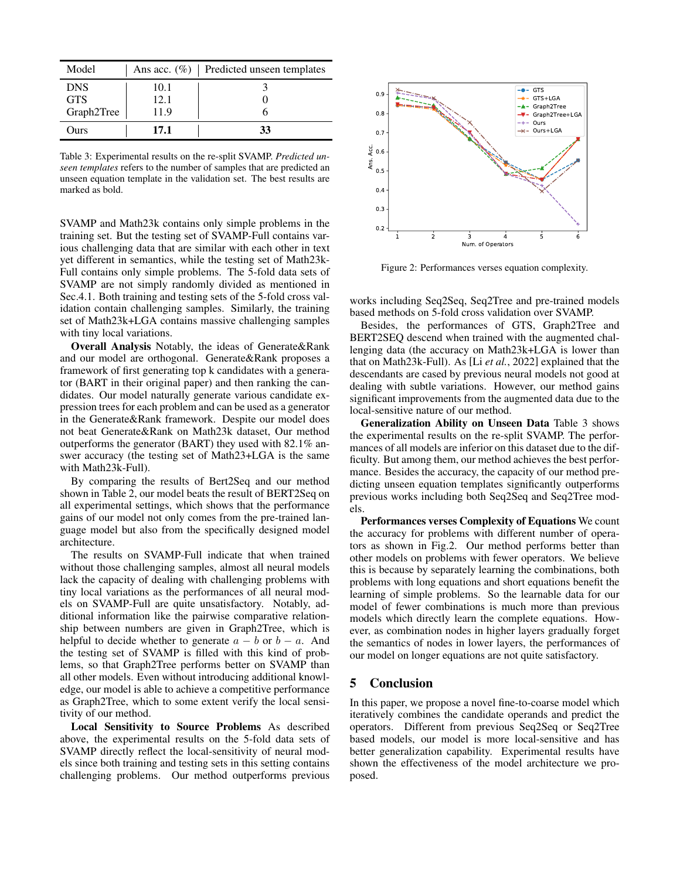<span id="page-5-0"></span>

| Model      |      | Ans acc. $(\%)$   Predicted unseen templates |
|------------|------|----------------------------------------------|
| <b>DNS</b> | 10.1 |                                              |
| <b>GTS</b> | 12.1 |                                              |
| Graph2Tree | 11.9 |                                              |
| Ours       | 17.1 | 33                                           |

Table 3: Experimental results on the re-split SVAMP. *Predicted unseen templates* refers to the number of samples that are predicted an unseen equation template in the validation set. The best results are marked as bold.

SVAMP and Math23k contains only simple problems in the training set. But the testing set of SVAMP-Full contains various challenging data that are similar with each other in text yet different in semantics, while the testing set of Math23k-Full contains only simple problems. The 5-fold data sets of SVAMP are not simply randomly divided as mentioned in Sec[.4.1.](#page-4-1) Both training and testing sets of the 5-fold cross validation contain challenging samples. Similarly, the training set of Math23k+LGA contains massive challenging samples with tiny local variations.

Overall Analysis Notably, the ideas of Generate&Rank and our model are orthogonal. Generate&Rank proposes a framework of first generating top k candidates with a generator (BART in their original paper) and then ranking the candidates. Our model naturally generate various candidate expression trees for each problem and can be used as a generator in the Generate&Rank framework. Despite our model does not beat Generate&Rank on Math23k dataset, Our method outperforms the generator (BART) they used with 82.1% answer accuracy (the testing set of Math23+LGA is the same with Math23k-Full).

By comparing the results of Bert2Seq and our method shown in Table [2,](#page-4-0) our model beats the result of BERT2Seq on all experimental settings, which shows that the performance gains of our model not only comes from the pre-trained language model but also from the specifically designed model architecture.

The results on SVAMP-Full indicate that when trained without those challenging samples, almost all neural models lack the capacity of dealing with challenging problems with tiny local variations as the performances of all neural models on SVAMP-Full are quite unsatisfactory. Notably, additional information like the pairwise comparative relationship between numbers are given in Graph2Tree, which is helpful to decide whether to generate  $a - b$  or  $b - a$ . And the testing set of SVAMP is filled with this kind of problems, so that Graph2Tree performs better on SVAMP than all other models. Even without introducing additional knowledge, our model is able to achieve a competitive performance as Graph2Tree, which to some extent verify the local sensitivity of our method.

Local Sensitivity to Source Problems As described above, the experimental results on the 5-fold data sets of SVAMP directly reflect the local-sensitivity of neural models since both training and testing sets in this setting contains challenging problems. Our method outperforms previous

<span id="page-5-1"></span>

Figure 2: Performances verses equation complexity.

works including Seq2Seq, Seq2Tree and pre-trained models based methods on 5-fold cross validation over SVAMP.

Besides, the performances of GTS, Graph2Tree and BERT2SEQ descend when trained with the augmented challenging data (the accuracy on Math23k+LGA is lower than that on Math23k-Full). As [Li *et al.*[, 2022\]](#page-6-7) explained that the descendants are cased by previous neural models not good at dealing with subtle variations. However, our method gains significant improvements from the augmented data due to the local-sensitive nature of our method.

Generalization Ability on Unseen Data Table [3](#page-5-0) shows the experimental results on the re-split SVAMP. The performances of all models are inferior on this dataset due to the difficulty. But among them, our method achieves the best performance. Besides the accuracy, the capacity of our method predicting unseen equation templates significantly outperforms previous works including both Seq2Seq and Seq2Tree models.

Performances verses Complexity of Equations We count the accuracy for problems with different number of operators as shown in Fig[.2.](#page-5-1) Our method performs better than other models on problems with fewer operators. We believe this is because by separately learning the combinations, both problems with long equations and short equations benefit the learning of simple problems. So the learnable data for our model of fewer combinations is much more than previous models which directly learn the complete equations. However, as combination nodes in higher layers gradually forget the semantics of nodes in lower layers, the performances of our model on longer equations are not quite satisfactory.

### 5 Conclusion

In this paper, we propose a novel fine-to-coarse model which iteratively combines the candidate operands and predict the operators. Different from previous Seq2Seq or Seq2Tree based models, our model is more local-sensitive and has better generalization capability. Experimental results have shown the effectiveness of the model architecture we proposed.